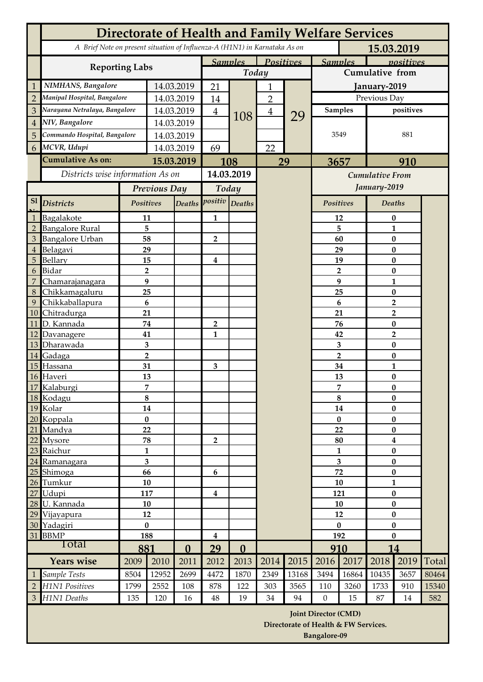|                | <b>Directorate of Health and Family Welfare Services</b>                                 |                                    |                         |                |                |                             |      |                |                                                                     |                |                               |              |       |  |
|----------------|------------------------------------------------------------------------------------------|------------------------------------|-------------------------|----------------|----------------|-----------------------------|------|----------------|---------------------------------------------------------------------|----------------|-------------------------------|--------------|-------|--|
|                | A Brief Note on present situation of Influenza-A (H1N1) in Karnataka As on<br>15.03.2019 |                                    |                         |                |                |                             |      |                |                                                                     |                |                               |              |       |  |
|                |                                                                                          | <b>Samples</b><br><b>Positives</b> |                         |                |                | <b>Samples</b><br>positives |      |                |                                                                     |                |                               |              |       |  |
|                | <b>Reporting Labs</b>                                                                    |                                    |                         |                | Today          |                             |      |                | <b>Cumulative from</b>                                              |                |                               |              |       |  |
| $\mathbf{1}$   | NIMHANS, Bangalore                                                                       |                                    |                         |                | 21             |                             |      |                |                                                                     |                | January-2019                  |              |       |  |
| $\overline{2}$ | Manipal Hospital, Bangalore                                                              | 14.03.2019                         |                         | 14             | 108            | $\overline{2}$              |      | Previous Day   |                                                                     |                |                               |              |       |  |
| 3              | Narayana Netralaya, Bangalore                                                            | 14.03.2019                         |                         | $\overline{4}$ |                | $\overline{\mathbf{4}}$     | 29   | <b>Samples</b> |                                                                     | positives      |                               |              |       |  |
| $\overline{4}$ | NIV, Bangalore                                                                           | 14.03.2019                         |                         |                |                |                             |      | 3549           |                                                                     | 881            |                               |              |       |  |
| 5              | Commando Hospital, Bangalore                                                             | 14.03.2019                         |                         |                |                |                             |      |                |                                                                     |                |                               |              |       |  |
| 6 <sup>1</sup> | MCVR, Udupi                                                                              | 14.03.2019                         |                         | 69             |                | 22                          |      |                |                                                                     |                |                               |              |       |  |
|                | Cumulative As on:                                                                        | 15.03.2019                         |                         | 108            |                | 29                          |      | 3657           |                                                                     | 910            |                               |              |       |  |
|                | Districts wise information As on                                                         |                                    |                         |                | 14.03.2019     |                             |      |                | <b>Cumulative From</b>                                              |                |                               |              |       |  |
|                |                                                                                          |                                    | Previous Day            |                | Today          |                             |      |                |                                                                     |                |                               | January-2019 |       |  |
| S1             | <b>Districts</b>                                                                         | Positives                          |                         |                | Deaths positiv | Deaths                      |      |                | Positives                                                           |                | <b>Deaths</b>                 |              |       |  |
| $\mathbf{1}$   | Bagalakote                                                                               | 11                                 |                         |                | 1              |                             |      |                | 12                                                                  |                |                               |              |       |  |
| $\overline{2}$ | <b>Bangalore Rural</b>                                                                   | 5                                  |                         |                |                |                             |      |                | 5                                                                   |                | $\bf{0}$<br>$\mathbf{1}$      |              |       |  |
| 3              | <b>Bangalore Urban</b>                                                                   | 58                                 |                         |                | $\overline{2}$ |                             |      |                | 60                                                                  |                | $\pmb{0}$                     |              |       |  |
| $\bf 4$        | Belagavi                                                                                 | 29                                 |                         |                |                |                             |      |                | 29                                                                  |                |                               | $\pmb{0}$    |       |  |
| $\overline{5}$ | Bellary                                                                                  | 15                                 |                         |                | 4              |                             |      |                | 19                                                                  |                |                               | $\bf{0}$     |       |  |
| 6              | Bidar                                                                                    | $\overline{2}$                     |                         |                |                |                             |      |                |                                                                     | $\overline{2}$ |                               | $\pmb{0}$    |       |  |
| 7              | Chamarajanagara                                                                          | 9                                  |                         |                |                |                             |      |                | 9                                                                   |                | $\mathbf{1}$                  |              |       |  |
| $\,8\,$<br>9   | Chikkamagaluru                                                                           | 25                                 |                         |                |                |                             |      |                | 25<br>6                                                             |                |                               | $\pmb{0}$    |       |  |
| 10             | Chikkaballapura<br>Chitradurga<br>21                                                     |                                    | 6                       |                |                |                             |      |                | 21                                                                  |                | $\overline{2}$<br>2           |              |       |  |
| 11             | D. Kannada                                                                               |                                    | 74                      |                | $\overline{2}$ |                             |      |                | 76                                                                  |                |                               | $\pmb{0}$    |       |  |
| 12             | Davanagere                                                                               | 41                                 |                         |                | 1              |                             |      |                | 42                                                                  |                | 2                             |              |       |  |
| 13             | Dharawada                                                                                |                                    | $\overline{\mathbf{3}}$ |                |                |                             |      |                | 3                                                                   |                | $\bf{0}$                      |              |       |  |
| 14             | Gadaga                                                                                   |                                    | $\overline{2}$          |                |                |                             |      |                | $\overline{2}$                                                      |                | $\pmb{0}$                     |              |       |  |
| 15             | Hassana                                                                                  | 31                                 |                         |                | 3              |                             |      |                | 34                                                                  |                | $\mathbf{1}$                  |              |       |  |
| 16             | Haveri                                                                                   |                                    | 13                      |                |                |                             |      |                | 13                                                                  |                | $\pmb{0}$                     |              |       |  |
|                | 17 Kalaburgi                                                                             |                                    | 7                       |                |                |                             |      |                | 7                                                                   |                | $\pmb{0}$                     |              |       |  |
|                | 18 Kodagu<br>19 Kolar                                                                    | 8<br>14                            |                         |                |                |                             |      |                | 8<br>14                                                             |                | $\boldsymbol{0}$<br>$\pmb{0}$ |              |       |  |
|                | 20 Koppala                                                                               |                                    | $\pmb{0}$               |                |                |                             |      |                | $\pmb{0}$                                                           |                | $\pmb{0}$                     |              |       |  |
| 21             | Mandya                                                                                   | 22                                 |                         |                |                |                             |      |                | 22                                                                  |                | $\pmb{0}$                     |              |       |  |
|                | 22 Mysore                                                                                |                                    | 78                      |                | $\overline{2}$ |                             |      |                | 80                                                                  |                | $\overline{\mathbf{4}}$       |              |       |  |
|                | 23 Raichur                                                                               | $\mathbf{1}$                       |                         |                |                |                             |      | 1              |                                                                     | $\pmb{0}$      |                               |              |       |  |
|                | 24 Ramanagara                                                                            |                                    | $\overline{\mathbf{3}}$ |                |                |                             |      |                | 3                                                                   |                | $\pmb{0}$                     |              |       |  |
|                | 25 Shimoga                                                                               | 66                                 |                         |                | 6              |                             |      |                | 72                                                                  |                | $\pmb{0}$                     |              |       |  |
|                | 26 Tumkur                                                                                | 10                                 |                         |                |                |                             |      |                | 10                                                                  |                | $\mathbf{1}$                  |              |       |  |
| 27             | Udupi<br>28 U. Kannada                                                                   | 117<br>10                          |                         |                | $\bf{4}$       |                             |      |                | 121<br>10                                                           |                | $\pmb{0}$<br>$\pmb{0}$        |              |       |  |
| 29             | Vijayapura                                                                               | 12                                 |                         |                |                |                             |      |                | 12                                                                  |                | $\bf{0}$                      |              |       |  |
|                | 30 Yadagiri                                                                              | $\pmb{0}$                          |                         |                |                |                             |      |                | $\bf{0}$                                                            |                | $\bf{0}$                      |              |       |  |
| 31 BBMP        |                                                                                          | 188                                |                         |                | $\bf{4}$       |                             |      |                | 192                                                                 |                | $\bf{0}$                      |              |       |  |
| Total          |                                                                                          | 881                                |                         | $\bf{0}$       | 29             | $\bf{0}$                    |      |                | 910                                                                 |                | 14                            |              |       |  |
|                | <b>Years wise</b>                                                                        | 2009                               | 2010                    | 2011           | 2012           | 2013                        | 2014 | 2015           | 2016                                                                | 2017           | 2018                          | 2019         | Total |  |
| $\mathbf{1}$   | Sample Tests                                                                             | 8504                               | 12952                   | 2699           | 4472           | 1870                        | 2349 | 13168          | 3494                                                                | 16864          | 10435                         | 3657         | 80464 |  |
| $\overline{2}$ | <b>H1N1 Positives</b>                                                                    | 1799                               | 2552                    | 108            | 878            | 122                         | 303  | 3565           | 110                                                                 | 3260           | 1733                          | 910          | 15340 |  |
|                | 3 H1N1 Deaths                                                                            | 135                                | 120                     | 16             | 48             | 19                          | 34   | 94             | $\theta$                                                            | 15             | 87                            | 14           | 582   |  |
|                |                                                                                          |                                    |                         |                |                |                             |      |                | <b>Joint Director (CMD)</b><br>Directorate of Health & FW Services. |                |                               |              |       |  |

**Bangalore-09**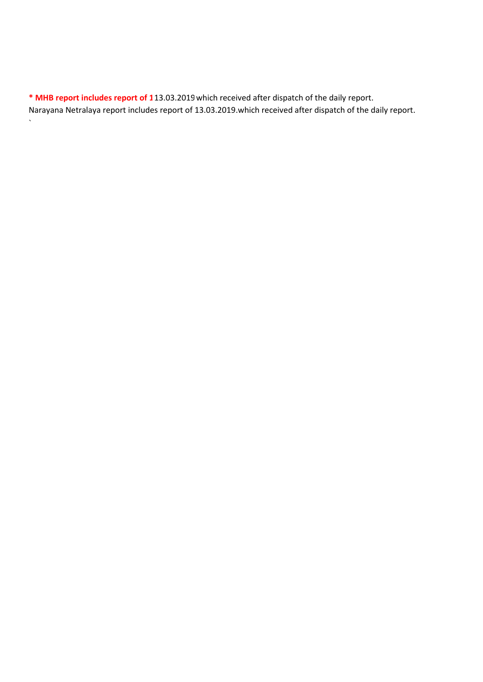\* MHB report includes report of 113.03.2019 which received after dispatch of the daily report. Narayana Netralaya report includes report of 13.03.2019.which received after dispatch of the daily report.

`